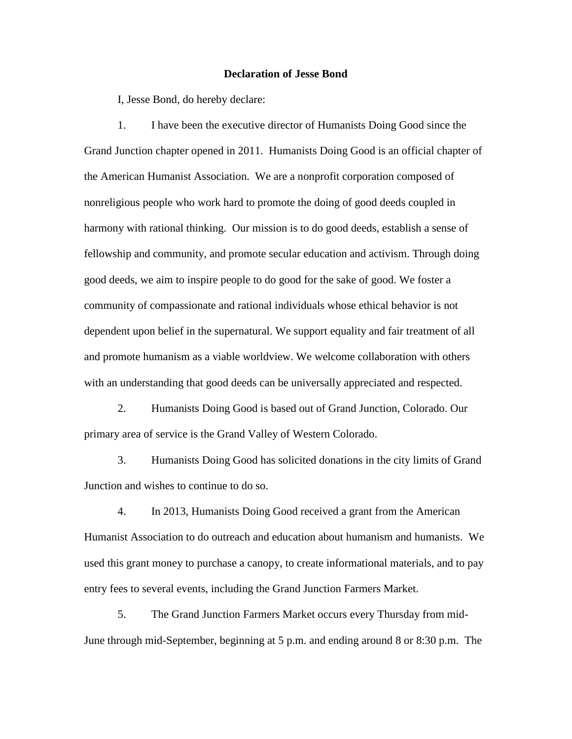## **Declaration of Jesse Bond**

I, Jesse Bond, do hereby declare:

1. I have been the executive director of Humanists Doing Good since the Grand Junction chapter opened in 2011. Humanists Doing Good is an official chapter of the American Humanist Association. We are a nonprofit corporation composed of nonreligious people who work hard to promote the doing of good deeds coupled in harmony with rational thinking. Our mission is to do good deeds, establish a sense of fellowship and community, and promote secular education and activism. Through doing good deeds, we aim to inspire people to do good for the sake of good. We foster a community of compassionate and rational individuals whose ethical behavior is not dependent upon belief in the supernatural. We support equality and fair treatment of all and promote humanism as a viable worldview. We welcome collaboration with others with an understanding that good deeds can be universally appreciated and respected.

2. Humanists Doing Good is based out of Grand Junction, Colorado. Our primary area of service is the Grand Valley of Western Colorado.

3. Humanists Doing Good has solicited donations in the city limits of Grand Junction and wishes to continue to do so.

4. In 2013, Humanists Doing Good received a grant from the American Humanist Association to do outreach and education about humanism and humanists. We used this grant money to purchase a canopy, to create informational materials, and to pay entry fees to several events, including the Grand Junction Farmers Market.

5. The Grand Junction Farmers Market occurs every Thursday from mid-June through mid-September, beginning at 5 p.m. and ending around 8 or 8:30 p.m. The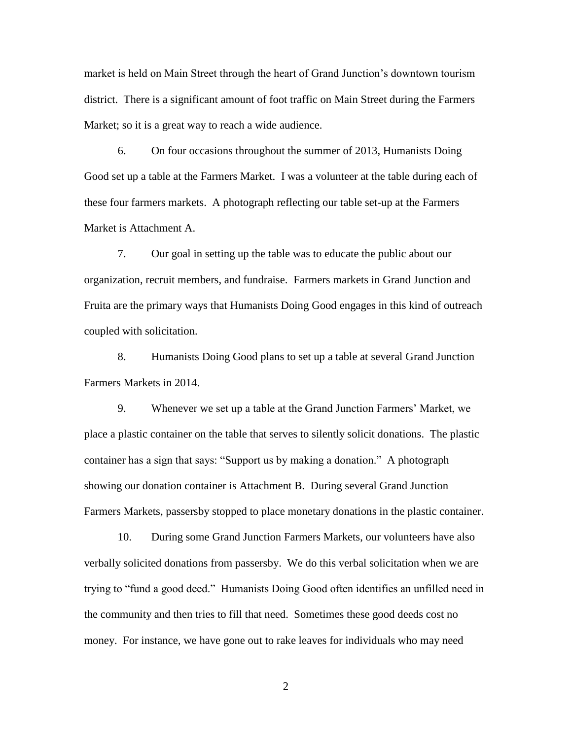market is held on Main Street through the heart of Grand Junction's downtown tourism district. There is a significant amount of foot traffic on Main Street during the Farmers Market; so it is a great way to reach a wide audience.

6. On four occasions throughout the summer of 2013, Humanists Doing Good set up a table at the Farmers Market. I was a volunteer at the table during each of these four farmers markets. A photograph reflecting our table set-up at the Farmers Market is Attachment A.

7. Our goal in setting up the table was to educate the public about our organization, recruit members, and fundraise. Farmers markets in Grand Junction and Fruita are the primary ways that Humanists Doing Good engages in this kind of outreach coupled with solicitation.

8. Humanists Doing Good plans to set up a table at several Grand Junction Farmers Markets in 2014.

9. Whenever we set up a table at the Grand Junction Farmers' Market, we place a plastic container on the table that serves to silently solicit donations. The plastic container has a sign that says: "Support us by making a donation." A photograph showing our donation container is Attachment B. During several Grand Junction Farmers Markets, passersby stopped to place monetary donations in the plastic container.

10. During some Grand Junction Farmers Markets, our volunteers have also verbally solicited donations from passersby. We do this verbal solicitation when we are trying to "fund a good deed." Humanists Doing Good often identifies an unfilled need in the community and then tries to fill that need. Sometimes these good deeds cost no money. For instance, we have gone out to rake leaves for individuals who may need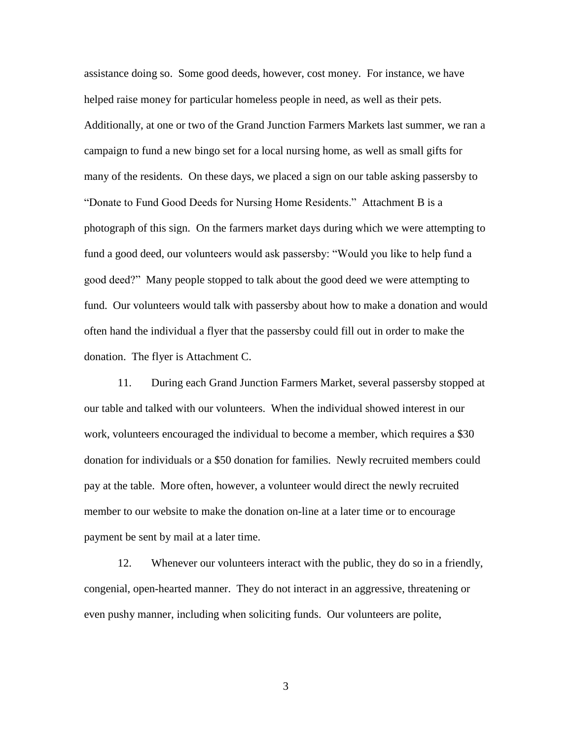assistance doing so. Some good deeds, however, cost money. For instance, we have helped raise money for particular homeless people in need, as well as their pets. Additionally, at one or two of the Grand Junction Farmers Markets last summer, we ran a campaign to fund a new bingo set for a local nursing home, as well as small gifts for many of the residents. On these days, we placed a sign on our table asking passersby to "Donate to Fund Good Deeds for Nursing Home Residents." Attachment B is a photograph of this sign. On the farmers market days during which we were attempting to fund a good deed, our volunteers would ask passersby: "Would you like to help fund a good deed?" Many people stopped to talk about the good deed we were attempting to fund. Our volunteers would talk with passersby about how to make a donation and would often hand the individual a flyer that the passersby could fill out in order to make the donation. The flyer is Attachment C.

11. During each Grand Junction Farmers Market, several passersby stopped at our table and talked with our volunteers. When the individual showed interest in our work, volunteers encouraged the individual to become a member, which requires a \$30 donation for individuals or a \$50 donation for families. Newly recruited members could pay at the table. More often, however, a volunteer would direct the newly recruited member to our website to make the donation on-line at a later time or to encourage payment be sent by mail at a later time.

12. Whenever our volunteers interact with the public, they do so in a friendly, congenial, open-hearted manner. They do not interact in an aggressive, threatening or even pushy manner, including when soliciting funds. Our volunteers are polite,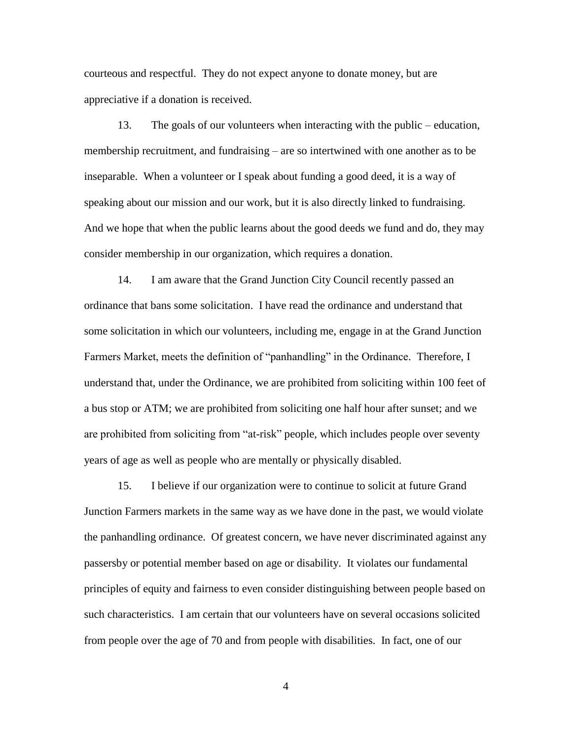courteous and respectful. They do not expect anyone to donate money, but are appreciative if a donation is received.

13. The goals of our volunteers when interacting with the public – education, membership recruitment, and fundraising – are so intertwined with one another as to be inseparable. When a volunteer or I speak about funding a good deed, it is a way of speaking about our mission and our work, but it is also directly linked to fundraising. And we hope that when the public learns about the good deeds we fund and do, they may consider membership in our organization, which requires a donation.

14. I am aware that the Grand Junction City Council recently passed an ordinance that bans some solicitation. I have read the ordinance and understand that some solicitation in which our volunteers, including me, engage in at the Grand Junction Farmers Market, meets the definition of "panhandling" in the Ordinance. Therefore, I understand that, under the Ordinance, we are prohibited from soliciting within 100 feet of a bus stop or ATM; we are prohibited from soliciting one half hour after sunset; and we are prohibited from soliciting from "at-risk" people, which includes people over seventy years of age as well as people who are mentally or physically disabled.

15. I believe if our organization were to continue to solicit at future Grand Junction Farmers markets in the same way as we have done in the past, we would violate the panhandling ordinance. Of greatest concern, we have never discriminated against any passersby or potential member based on age or disability. It violates our fundamental principles of equity and fairness to even consider distinguishing between people based on such characteristics. I am certain that our volunteers have on several occasions solicited from people over the age of 70 and from people with disabilities. In fact, one of our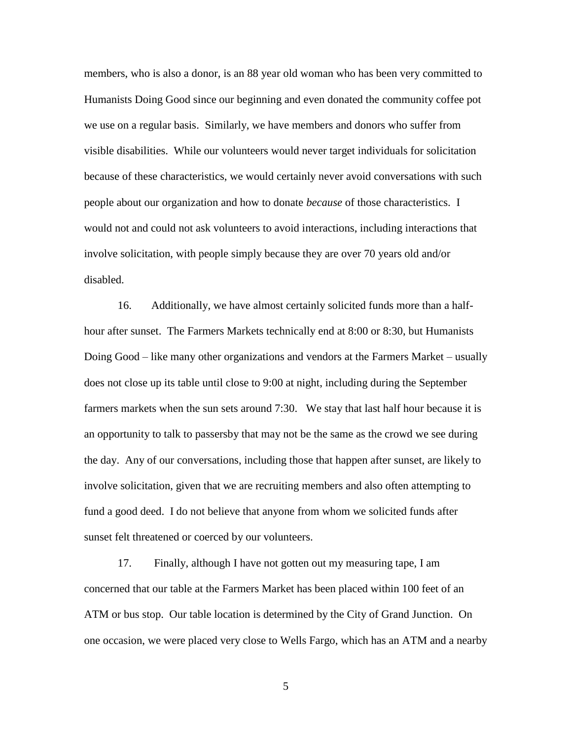members, who is also a donor, is an 88 year old woman who has been very committed to Humanists Doing Good since our beginning and even donated the community coffee pot we use on a regular basis. Similarly, we have members and donors who suffer from visible disabilities. While our volunteers would never target individuals for solicitation because of these characteristics, we would certainly never avoid conversations with such people about our organization and how to donate *because* of those characteristics. I would not and could not ask volunteers to avoid interactions, including interactions that involve solicitation, with people simply because they are over 70 years old and/or disabled.

16. Additionally, we have almost certainly solicited funds more than a halfhour after sunset. The Farmers Markets technically end at 8:00 or 8:30, but Humanists Doing Good – like many other organizations and vendors at the Farmers Market – usually does not close up its table until close to 9:00 at night, including during the September farmers markets when the sun sets around 7:30. We stay that last half hour because it is an opportunity to talk to passersby that may not be the same as the crowd we see during the day. Any of our conversations, including those that happen after sunset, are likely to involve solicitation, given that we are recruiting members and also often attempting to fund a good deed. I do not believe that anyone from whom we solicited funds after sunset felt threatened or coerced by our volunteers.

17. Finally, although I have not gotten out my measuring tape, I am concerned that our table at the Farmers Market has been placed within 100 feet of an ATM or bus stop. Our table location is determined by the City of Grand Junction. On one occasion, we were placed very close to Wells Fargo, which has an ATM and a nearby